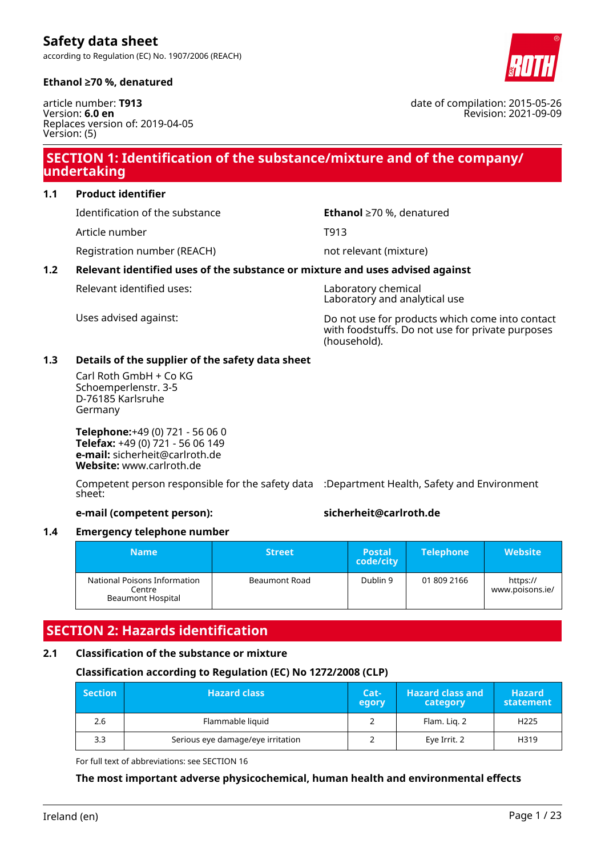according to Regulation (EC) No. 1907/2006 (REACH)



article number: **T913** Version: **6.0 en** Replaces version of: 2019-04-05 Version: (5)

# **SECTION 1: Identification of the substance/mixture and of the company/ undertaking**

**1.1 Product identifier**

Identification of the substance **Ethanol** ≥70 %, denatured

Article number T913

Registration number (REACH) not relevant (mixture)

# **1.2 Relevant identified uses of the substance or mixture and uses advised against**

Relevant identified uses: Laboratory chemical

Laboratory and analytical use

Uses advised against: Do not use for products which come into contact with foodstuffs. Do not use for private purposes (household).

### **1.3 Details of the supplier of the safety data sheet**

Carl Roth GmbH + Co KG Schoemperlenstr. 3-5 D-76185 Karlsruhe Germany

**Telephone:**+49 (0) 721 - 56 06 0 **Telefax:** +49 (0) 721 - 56 06 149 **e-mail:** sicherheit@carlroth.de **Website:** www.carlroth.de

Competent person responsible for the safety data :Department Health, Safety and Environment sheet:

**e-mail (competent person): sicherheit@carlroth.de**

# **1.4 Emergency telephone number**

| <b>Name</b>                                                        | <b>Street</b> | 'Postal.<br>code/city | <b>Telephone</b> | <b>Website</b>              |
|--------------------------------------------------------------------|---------------|-----------------------|------------------|-----------------------------|
| National Poisons Information<br>Centre<br><b>Beaumont Hospital</b> | Beaumont Road | Dublin 9              | 01 809 2166      | https://<br>www.poisons.ie/ |

# **SECTION 2: Hazards identification**

# **2.1 Classification of the substance or mixture**

# **Classification according to Regulation (EC) No 1272/2008 (CLP)**

| <b>Section</b> | <b>Hazard class</b>               | $Cat-$<br><b>legory</b> | <b>Hazard class and</b><br>category | <b>Hazard</b><br>statement |
|----------------|-----------------------------------|-------------------------|-------------------------------------|----------------------------|
| 2.6            | Flammable liquid                  |                         | Flam. Lig. 2                        | H <sub>225</sub>           |
| 3.3            | Serious eye damage/eye irritation |                         | Eye Irrit. 2                        | H319                       |

For full text of abbreviations: see SECTION 16

# **The most important adverse physicochemical, human health and environmental effects**



date of compilation: 2015-05-26 Revision: 2021-09-09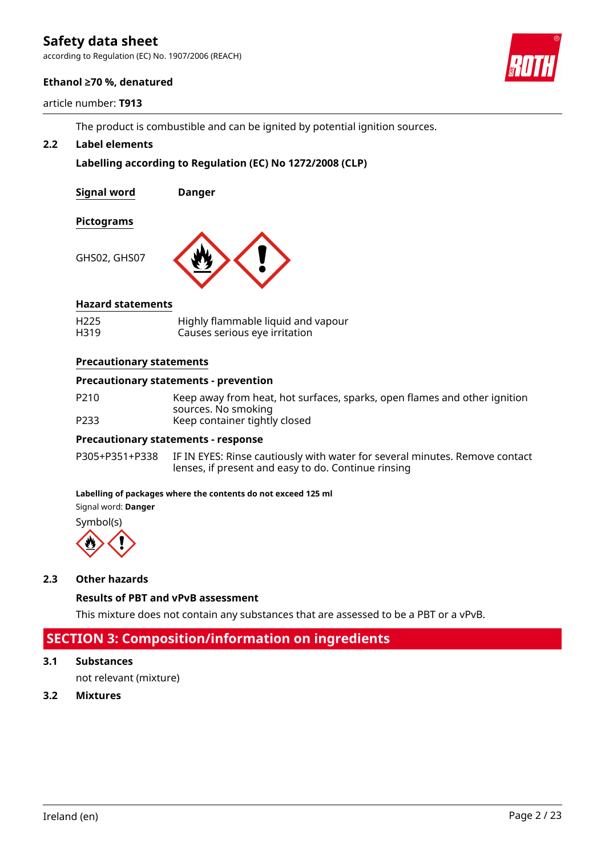according to Regulation (EC) No. 1907/2006 (REACH)

### **Ethanol ≥70 %, denatured**

article number: **T913**

The product is combustible and can be ignited by potential ignition sources.

### **2.2 Label elements**

# **Labelling according to Regulation (EC) No 1272/2008 (CLP)**

**Signal word Danger**

### **Pictograms**

GHS02, GHS07



### **Hazard statements**

| H <sub>225</sub> | Highly flammable liquid and vapour |
|------------------|------------------------------------|
| H319             | Causes serious eye irritation      |

#### **Precautionary statements**

#### **Precautionary statements - prevention**

P210 Keep away from heat, hot surfaces, sparks, open flames and other ignition sources. No smoking P233 Keep container tightly closed

#### **Precautionary statements - response**

P305+P351+P338 IF IN EYES: Rinse cautiously with water for several minutes. Remove contact lenses, if present and easy to do. Continue rinsing

#### **Labelling of packages where the contents do not exceed 125 ml**

Signal word: **Danger**

Symbol(s)



#### **2.3 Other hazards**

**Results of PBT and vPvB assessment**

This mixture does not contain any substances that are assessed to be a PBT or a vPvB.

# **SECTION 3: Composition/information on ingredients**

**3.1 Substances**

not relevant (mixture)

**3.2 Mixtures**

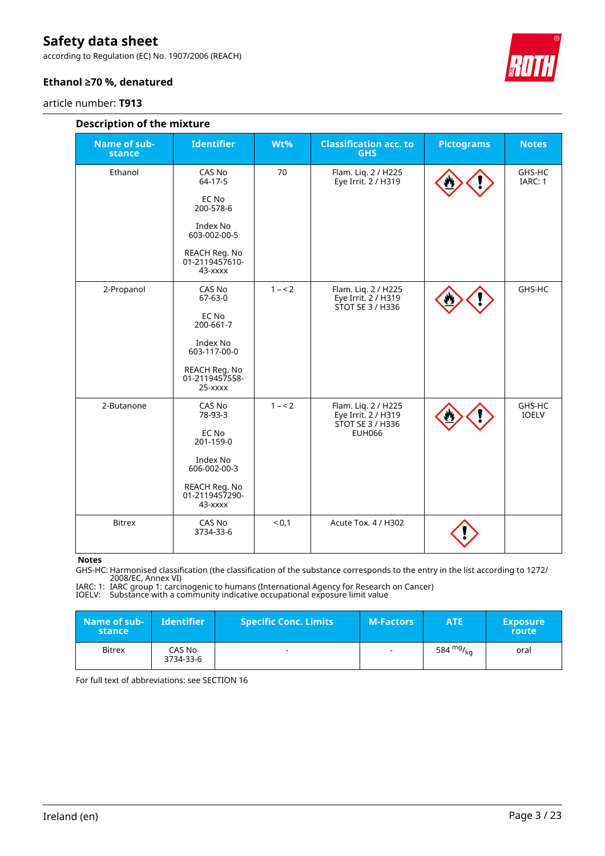according to Regulation (EC) No. 1907/2006 (REACH)

### **Ethanol ≥70 %, denatured**

article number: **T913**



| <b>Description of the mixture</b> |                                            |         |                                                                |                   |                        |  |  |  |
|-----------------------------------|--------------------------------------------|---------|----------------------------------------------------------------|-------------------|------------------------|--|--|--|
| <b>Name of sub-</b><br>stance     | <b>Identifier</b>                          | Wt%     | <b>Classification acc. to</b><br><b>GHS</b>                    | <b>Pictograms</b> | <b>Notes</b>           |  |  |  |
| Ethanol                           | CAS No<br>64-17-5                          | 70      | Flam. Liq. 2 / H225<br>Eye Irrit. 2 / H319                     |                   | GHS-HC<br>IARC: 1      |  |  |  |
|                                   | EC No<br>200-578-6                         |         |                                                                |                   |                        |  |  |  |
|                                   | Index No<br>603-002-00-5                   |         |                                                                |                   |                        |  |  |  |
|                                   | REACH Reg. No<br>01-2119457610-<br>43-xxxx |         |                                                                |                   |                        |  |  |  |
| 2-Propanol                        | CAS No<br>$67 - 63 - 0$                    | $1 - 2$ | Flam. Liq. 2 / H225<br>Eye Irrit. 2 / H319<br>STOT SE 3 / H336 |                   | GHS-HC                 |  |  |  |
|                                   | EC No<br>200-661-7                         |         |                                                                |                   |                        |  |  |  |
|                                   | Index No<br>603-117-00-0                   |         |                                                                |                   |                        |  |  |  |
|                                   | REACH Reg. No<br>01-2119457558-<br>25-xxxx |         |                                                                |                   |                        |  |  |  |
| 2-Butanone                        | CAS No<br>78-93-3                          | $1 - 2$ | Flam. Liq. 2 / H225<br>Eye Irrit. 2 / H319<br>STOT SE 3 / H336 |                   | GHS-HC<br><b>IOELV</b> |  |  |  |
|                                   | EC No<br>201-159-0                         |         | <b>EUH066</b>                                                  |                   |                        |  |  |  |
|                                   | Index No<br>606-002-00-3                   |         |                                                                |                   |                        |  |  |  |
|                                   | REACH Reg. No<br>01-2119457290-<br>43-xxxx |         |                                                                |                   |                        |  |  |  |
| <b>Bitrex</b>                     | CAS No<br>3734-33-6                        | < 0,1   | Acute Tox. 4 / H302                                            |                   |                        |  |  |  |

**Notes**

GHS-HC: Harmonised classification (the classification of the substance corresponds to the entry in the list according to 1272/ 2008/EC, Annex VI)

IARC: 1: IARC group 1: carcinogenic to humans (International Agency for Research on Cancer) IOELV: Substance with a community indicative occupational exposure limit value

| Name of sub-<br>stance | <b>Identifier</b>   | <b>Specific Conc. Limits</b> | <b>M-Factors</b>         | <b>ATE</b>  | <b>Exposure</b><br>route |
|------------------------|---------------------|------------------------------|--------------------------|-------------|--------------------------|
| <b>Bitrex</b>          | CAS No<br>3734-33-6 | $\overline{\phantom{0}}$     | $\overline{\phantom{a}}$ | 584 $mg/kq$ | oral                     |

For full text of abbreviations: see SECTION 16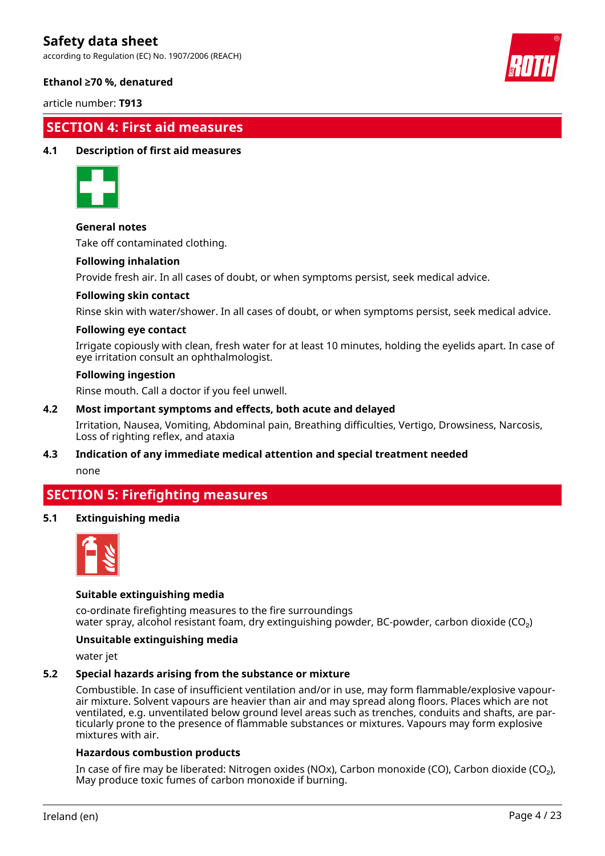according to Regulation (EC) No. 1907/2006 (REACH)



#### **Ethanol ≥70 %, denatured**

article number: **T913**

# **SECTION 4: First aid measures**

#### **4.1 Description of first aid measures**



#### **General notes**

Take off contaminated clothing.

#### **Following inhalation**

Provide fresh air. In all cases of doubt, or when symptoms persist, seek medical advice.

#### **Following skin contact**

Rinse skin with water/shower. In all cases of doubt, or when symptoms persist, seek medical advice.

#### **Following eye contact**

Irrigate copiously with clean, fresh water for at least 10 minutes, holding the eyelids apart. In case of eye irritation consult an ophthalmologist.

#### **Following ingestion**

Rinse mouth. Call a doctor if you feel unwell.

#### **4.2 Most important symptoms and effects, both acute and delayed**

Irritation, Nausea, Vomiting, Abdominal pain, Breathing difficulties, Vertigo, Drowsiness, Narcosis, Loss of righting reflex, and ataxia

# **4.3 Indication of any immediate medical attention and special treatment needed**

none

# **SECTION 5: Firefighting measures**

#### **5.1 Extinguishing media**



#### **Suitable extinguishing media**

co-ordinate firefighting measures to the fire surroundings water spray, alcohol resistant foam, dry extinguishing powder, BC-powder, carbon dioxide (CO<sub>2</sub>)

#### **Unsuitable extinguishing media**

water jet

#### **5.2 Special hazards arising from the substance or mixture**

Combustible. In case of insufficient ventilation and/or in use, may form flammable/explosive vapourair mixture. Solvent vapours are heavier than air and may spread along floors. Places which are not ventilated, e.g. unventilated below ground level areas such as trenches, conduits and shafts, are particularly prone to the presence of flammable substances or mixtures. Vapours may form explosive mixtures with air.

#### **Hazardous combustion products**

In case of fire may be liberated: Nitrogen oxides (NOx), Carbon monoxide (CO), Carbon dioxide (CO₂), May produce toxic fumes of carbon monoxide if burning.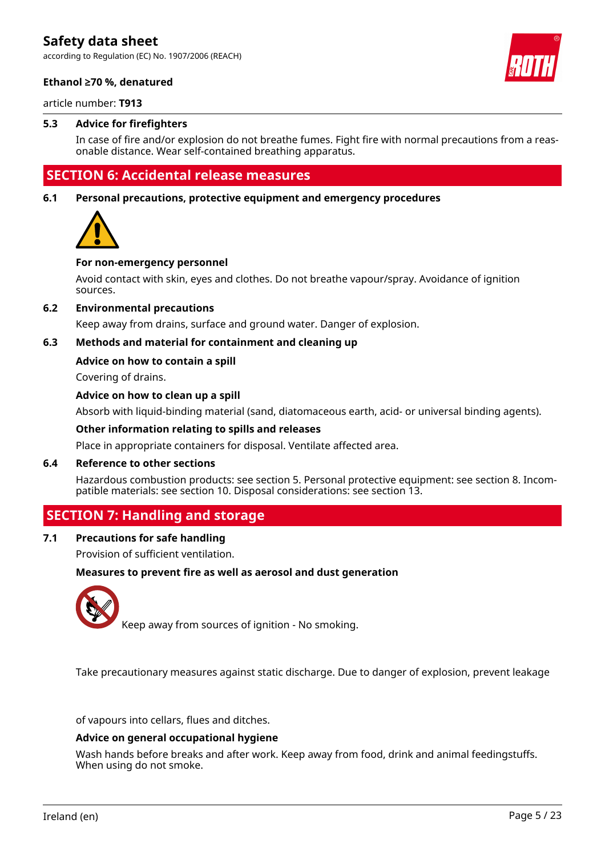according to Regulation (EC) No. 1907/2006 (REACH)



### **Ethanol ≥70 %, denatured**

article number: **T913**

### **5.3 Advice for firefighters**

In case of fire and/or explosion do not breathe fumes. Fight fire with normal precautions from a reasonable distance. Wear self-contained breathing apparatus.

# **SECTION 6: Accidental release measures**

**6.1 Personal precautions, protective equipment and emergency procedures**



#### **For non-emergency personnel**

Avoid contact with skin, eyes and clothes. Do not breathe vapour/spray. Avoidance of ignition sources.

#### **6.2 Environmental precautions**

Keep away from drains, surface and ground water. Danger of explosion.

### **6.3 Methods and material for containment and cleaning up**

#### **Advice on how to contain a spill**

Covering of drains.

#### **Advice on how to clean up a spill**

Absorb with liquid-binding material (sand, diatomaceous earth, acid- or universal binding agents).

#### **Other information relating to spills and releases**

Place in appropriate containers for disposal. Ventilate affected area.

#### **6.4 Reference to other sections**

Hazardous combustion products: see section 5. Personal protective equipment: see section 8. Incompatible materials: see section 10. Disposal considerations: see section 13.

# **SECTION 7: Handling and storage**

# **7.1 Precautions for safe handling**

Provision of sufficient ventilation.

#### **Measures to prevent fire as well as aerosol and dust generation**



Keep away from sources of ignition - No smoking.

Take precautionary measures against static discharge. Due to danger of explosion, prevent leakage

of vapours into cellars, flues and ditches.

#### **Advice on general occupational hygiene**

Wash hands before breaks and after work. Keep away from food, drink and animal feedingstuffs. When using do not smoke.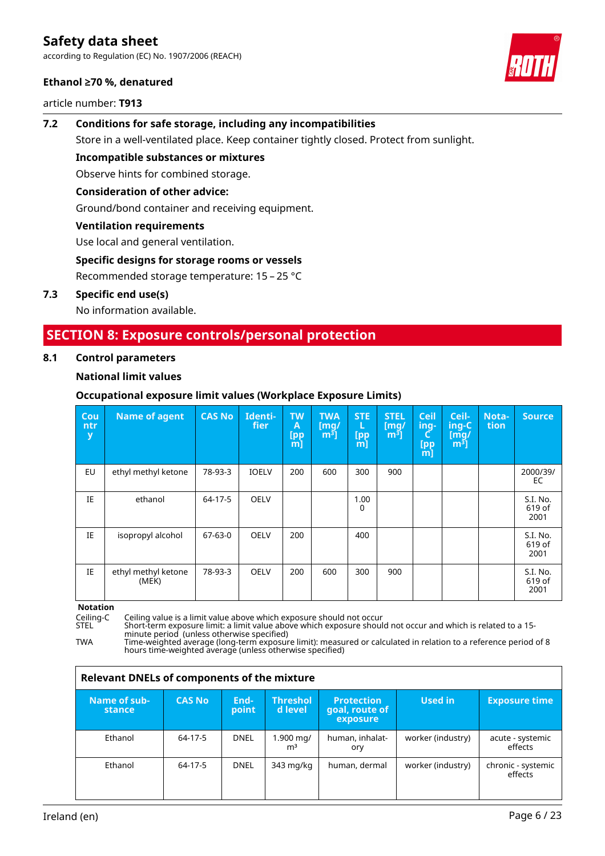according to Regulation (EC) No. 1907/2006 (REACH)

#### **Ethanol ≥70 %, denatured**

article number: **T913**



# **7.2 Conditions for safe storage, including any incompatibilities** Store in a well-ventilated place. Keep container tightly closed. Protect from sunlight.

**Incompatible substances or mixtures**

Observe hints for combined storage.

### **Consideration of other advice:**

Ground/bond container and receiving equipment.

### **Ventilation requirements**

Use local and general ventilation.

### **Specific designs for storage rooms or vessels**

Recommended storage temperature: 15 – 25 °C

### **7.3 Specific end use(s)**

No information available.

# **SECTION 8: Exposure controls/personal protection**

#### **8.1 Control parameters**

### **National limit values**

# **Occupational exposure limit values (Workplace Exposure Limits)**

| Cou<br>ntr<br>У | <b>Name of agent</b>         | <b>CAS No</b> | Identi-<br>fier | <b>TW</b><br>A<br>[pp<br>m | <b>TWA</b><br>$\mathsf{[mq]}$<br>m <sup>3</sup> | <b>STE</b><br>L.<br>[pp<br>m] | <b>STEL</b><br>$\mathsf{[mq]}$<br>m <sup>3</sup> | <b>Ceil</b><br>ing-<br><b>[pp]</b><br>m] | Ceil-<br>ing-C<br>[mq]<br>$m3$ ] | Nota-<br>tion | <b>Source</b>              |
|-----------------|------------------------------|---------------|-----------------|----------------------------|-------------------------------------------------|-------------------------------|--------------------------------------------------|------------------------------------------|----------------------------------|---------------|----------------------------|
| EU              | ethyl methyl ketone          | 78-93-3       | <b>IOELV</b>    | 200                        | 600                                             | 300                           | 900                                              |                                          |                                  |               | 2000/39/<br>EC             |
| IE              | ethanol                      | 64-17-5       | OELV            |                            |                                                 | 1.00<br>0                     |                                                  |                                          |                                  |               | S.I. No.<br>619 of<br>2001 |
| IE              | isopropyl alcohol            | $67 - 63 - 0$ | <b>OELV</b>     | 200                        |                                                 | 400                           |                                                  |                                          |                                  |               | S.I. No.<br>619 of<br>2001 |
| IE              | ethyl methyl ketone<br>(MEK) | 78-93-3       | <b>OELV</b>     | 200                        | 600                                             | 300                           | 900                                              |                                          |                                  |               | S.I. No.<br>619 of<br>2001 |

**Notation**<br>Ceiling-C

Ceiling-C Ceiling value is a limit value above which exposure should not occur

STEL Short-term exposure limit: a limit value above which exposure should not occur and which is related to a 15 minute period (unless otherwise specified)

TWA Time-weighted average (long-term exposure limit): measured or calculated in relation to a reference period of 8 hours time-weighted average (unless otherwise specified)

| <b>Relevant DNELs of components of the mixture</b> |               |               |                             |                                                 |                   |                               |  |  |
|----------------------------------------------------|---------------|---------------|-----------------------------|-------------------------------------------------|-------------------|-------------------------------|--|--|
| Name of sub-<br>stance                             | <b>CAS No</b> | End-<br>point | <b>Threshol</b><br>d level. | <b>Protection</b><br>goal, route of<br>exposure | Used in           | <b>Exposure time</b>          |  |  |
| Ethanol                                            | 64-17-5       | DNEL          | 1.900 mg/<br>m <sup>3</sup> | human, inhalat-<br>ory                          | worker (industry) | acute - systemic<br>effects   |  |  |
| Ethanol                                            | 64-17-5       | DNEL          | 343 mg/kg                   | human, dermal                                   | worker (industry) | chronic - systemic<br>effects |  |  |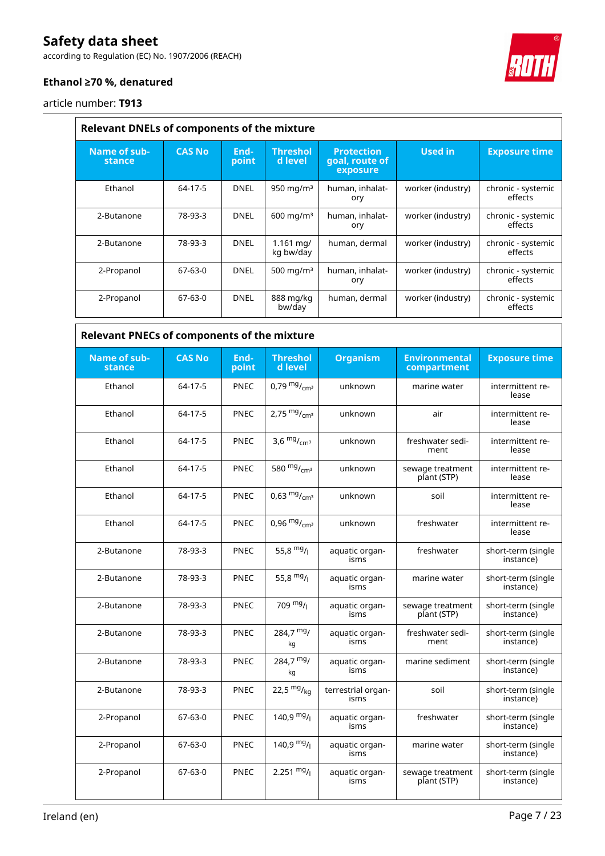according to Regulation (EC) No. 1907/2006 (REACH)



# **Ethanol ≥70 %, denatured**

article number: **T913**

| <b>Relevant DNELs of components of the mixture</b> |               |               |                                    |                                                 |                   |                               |  |  |
|----------------------------------------------------|---------------|---------------|------------------------------------|-------------------------------------------------|-------------------|-------------------------------|--|--|
| Name of sub-<br>stance                             | <b>CAS No</b> | End-<br>point | <b>Threshol</b><br>d level         | <b>Protection</b><br>goal, route of<br>exposure | <b>Used in</b>    | <b>Exposure time</b>          |  |  |
| Ethanol                                            | 64-17-5       | DNEL          | 950 mg/m $3$                       | human, inhalat-<br>ory                          | worker (industry) | chronic - systemic<br>effects |  |  |
| 2-Butanone                                         | 78-93-3       | DNEL          | $600 \text{ mg/m}^3$               | human, inhalat-<br>ory                          | worker (industry) | chronic - systemic<br>effects |  |  |
| 2-Butanone                                         | 78-93-3       | DNEL          | $1.161 \,\mathrm{mq}$<br>kg bw/day | human, dermal                                   | worker (industry) | chronic - systemic<br>effects |  |  |
| 2-Propanol                                         | $67 - 63 - 0$ | <b>DNEL</b>   | 500 mg/m $3$                       | human, inhalat-<br>ory                          | worker (industry) | chronic - systemic<br>effects |  |  |
| 2-Propanol                                         | 67-63-0       | DNEL          | 888 mg/kg<br>bw/day                | human, dermal                                   | worker (industry) | chronic - systemic<br>effects |  |  |

| <b>Relevant PNECs of components of the mixture</b> |               |               |                            |                            |                                     |                                 |  |  |
|----------------------------------------------------|---------------|---------------|----------------------------|----------------------------|-------------------------------------|---------------------------------|--|--|
| Name of sub-<br>stance                             | <b>CAS No</b> | End-<br>point | <b>Threshol</b><br>d level | <b>Organism</b>            | <b>Environmental</b><br>compartment | <b>Exposure time</b>            |  |  |
| Ethanol                                            | 64-17-5       | <b>PNEC</b>   | 0,79 $mg/m1$               | unknown                    | marine water                        | intermittent re-<br>lease       |  |  |
| Ethanol                                            | 64-17-5       | <b>PNEC</b>   | 2,75 $mg/m3$               | unknown                    | air                                 | intermittent re-<br>lease       |  |  |
| Ethanol                                            | 64-17-5       | <b>PNEC</b>   | 3,6 $mg/mcm3$              | unknown                    | freshwater sedi-<br>ment            | intermittent re-<br>lease       |  |  |
| Ethanol                                            | 64-17-5       | <b>PNEC</b>   | 580 $mg/mcm3$              | unknown                    | sewage treatment<br>plant (STP)     | intermittent re-<br>lease       |  |  |
| Ethanol                                            | 64-17-5       | <b>PNEC</b>   | 0,63 $mg/mcm3$             | unknown                    | soil                                | intermittent re-<br>lease       |  |  |
| Ethanol                                            | 64-17-5       | <b>PNEC</b>   | 0,96 $mg/m2$               | unknown                    | freshwater                          | intermittent re-<br>lease       |  |  |
| 2-Butanone                                         | 78-93-3       | <b>PNEC</b>   | 55,8 $mg/$                 | aquatic organ-<br>isms     | freshwater                          | short-term (single<br>instance) |  |  |
| 2-Butanone                                         | 78-93-3       | <b>PNEC</b>   | 55,8 $mg/$                 | aquatic organ-<br>isms     | marine water                        | short-term (single<br>instance) |  |  |
| 2-Butanone                                         | 78-93-3       | <b>PNEC</b>   | 709 $mg/1$                 | aquatic organ-<br>isms     | sewage treatment<br>plant (STP)     | short-term (single<br>instance) |  |  |
| 2-Butanone                                         | 78-93-3       | <b>PNEC</b>   | $284,7 \frac{mg}{m}$<br>kg | aquatic organ-<br>isms     | freshwater sedi-<br>ment            | short-term (single<br>instance) |  |  |
| 2-Butanone                                         | 78-93-3       | <b>PNEC</b>   | $284,7 \frac{mg}{m}$<br>kg | aquatic organ-<br>isms     | marine sediment                     | short-term (single<br>instance) |  |  |
| 2-Butanone                                         | 78-93-3       | <b>PNEC</b>   | 22,5 $mg/kq$               | terrestrial organ-<br>isms | soil                                | short-term (single<br>instance) |  |  |
| 2-Propanol                                         | 67-63-0       | <b>PNEC</b>   | 140,9 $mg/$                | aquatic organ-<br>isms     | freshwater                          | short-term (single<br>instance) |  |  |
| 2-Propanol                                         | $67 - 63 - 0$ | <b>PNEC</b>   | 140,9 $mg/$                | aquatic organ-<br>isms     | marine water                        | short-term (single<br>instance) |  |  |
| 2-Propanol                                         | $67 - 63 - 0$ | <b>PNEC</b>   | 2.251 $mg/1$               | aquatic organ-<br>isms     | sewage treatment<br>plant (STP)     | short-term (single<br>instance) |  |  |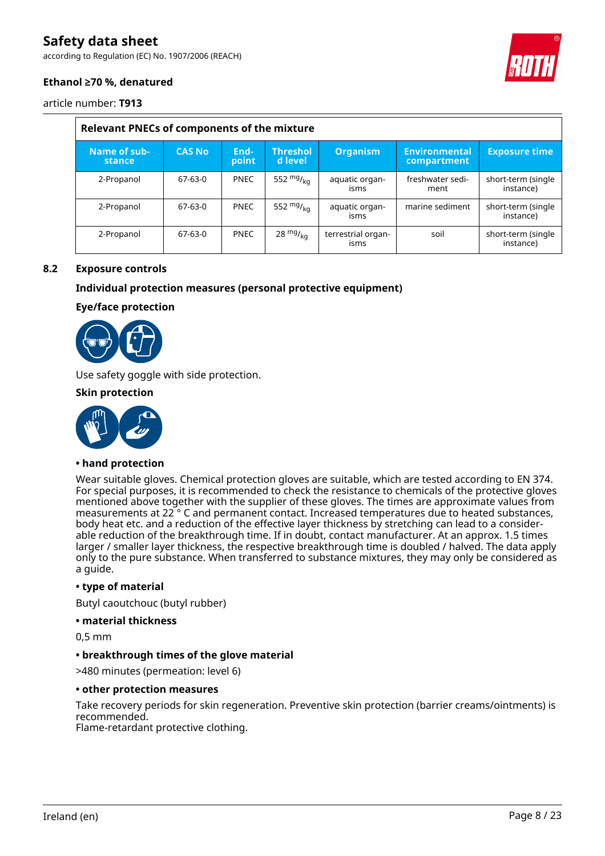according to Regulation (EC) No. 1907/2006 (REACH)



# **Ethanol ≥70 %, denatured**

article number: **T913**

| <b>Relevant PNECs of components of the mixture</b> |               |               |                            |                            |                                     |                                 |  |  |
|----------------------------------------------------|---------------|---------------|----------------------------|----------------------------|-------------------------------------|---------------------------------|--|--|
| Name of sub-<br>stance                             | <b>CAS No</b> | End-<br>point | <b>Threshol</b><br>d level | <b>Organism</b>            | <b>Environmental</b><br>compartment | <b>Exposure time</b>            |  |  |
| 2-Propanol                                         | 67-63-0       | <b>PNEC</b>   | 552 $mg/kq$                | aquatic organ-<br>isms     | freshwater sedi-<br>ment            | short-term (single<br>instance) |  |  |
| 2-Propanol                                         | 67-63-0       | <b>PNEC</b>   | 552 $mg/kq$                | aquatic organ-<br>isms     | marine sediment                     | short-term (single<br>instance) |  |  |
| 2-Propanol                                         | 67-63-0       | <b>PNEC</b>   | 28 $mg/kq$                 | terrestrial organ-<br>isms | soil                                | short-term (single<br>instance) |  |  |

#### **8.2 Exposure controls**

#### **Individual protection measures (personal protective equipment)**

#### **Eye/face protection**



Use safety goggle with side protection.

#### **Skin protection**



### **• hand protection**

Wear suitable gloves. Chemical protection gloves are suitable, which are tested according to EN 374. For special purposes, it is recommended to check the resistance to chemicals of the protective gloves mentioned above together with the supplier of these gloves. The times are approximate values from measurements at 22 ° C and permanent contact. Increased temperatures due to heated substances, body heat etc. and a reduction of the effective layer thickness by stretching can lead to a considerable reduction of the breakthrough time. If in doubt, contact manufacturer. At an approx. 1.5 times larger / smaller layer thickness, the respective breakthrough time is doubled / halved. The data apply only to the pure substance. When transferred to substance mixtures, they may only be considered as a guide.

#### **• type of material**

Butyl caoutchouc (butyl rubber)

**• material thickness**

0,5 mm

#### **• breakthrough times of the glove material**

>480 minutes (permeation: level 6)

#### **• other protection measures**

Take recovery periods for skin regeneration. Preventive skin protection (barrier creams/ointments) is recommended.

Flame-retardant protective clothing.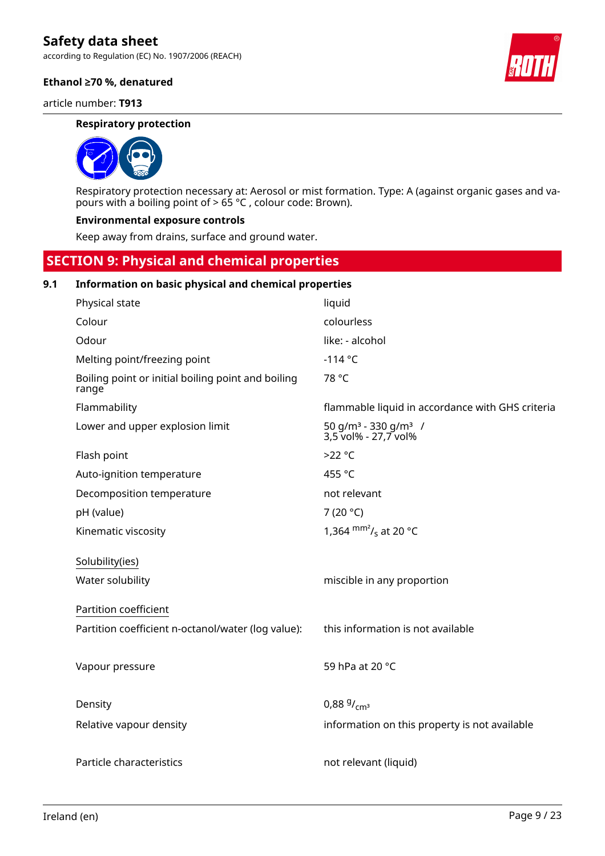according to Regulation (EC) No. 1907/2006 (REACH)

#### **Ethanol ≥70 %, denatured**

article number: **T913**

#### **Respiratory protection**



Respiratory protection necessary at: Aerosol or mist formation. Type: A (against organic gases and vapours with a boiling point of > 65 °C , colour code: Brown).

#### **Environmental exposure controls**

Keep away from drains, surface and ground water.

# **SECTION 9: Physical and chemical properties**

### **9.1 Information on basic physical and chemical properties**

| Physical state                                              | liquid                                                               |
|-------------------------------------------------------------|----------------------------------------------------------------------|
| Colour                                                      | colourless                                                           |
| Odour                                                       | like: - alcohol                                                      |
| Melting point/freezing point                                | $-114 °C$                                                            |
| Boiling point or initial boiling point and boiling<br>range | 78 °C                                                                |
| Flammability                                                | flammable liquid in accordance with GHS criteria                     |
| Lower and upper explosion limit                             | 50 g/m <sup>3</sup> - 330 g/m <sup>3</sup> /<br>3,5 vol% - 27,7 vol% |
| Flash point                                                 | $>22$ °C                                                             |
| Auto-ignition temperature                                   | 455 °C                                                               |
| Decomposition temperature                                   | not relevant                                                         |
| pH (value)                                                  | 7 (20 $^{\circ}$ C)                                                  |
| Kinematic viscosity                                         | 1,364 $\rm{mm}^2$ / <sub>s</sub> at 20 °C                            |
| Solubility(ies)                                             |                                                                      |
| Water solubility                                            | miscible in any proportion                                           |
|                                                             |                                                                      |
| Partition coefficient                                       |                                                                      |
| Partition coefficient n-octanol/water (log value):          | this information is not available                                    |
|                                                             |                                                                      |
| Vapour pressure                                             | 59 hPa at 20 °C                                                      |
|                                                             |                                                                      |
| Density                                                     | $0.88\frac{9}{\text{cm}^3}$                                          |
| Relative vapour density                                     | information on this property is not available                        |
|                                                             |                                                                      |
| Particle characteristics                                    | not relevant (liquid)                                                |
|                                                             |                                                                      |

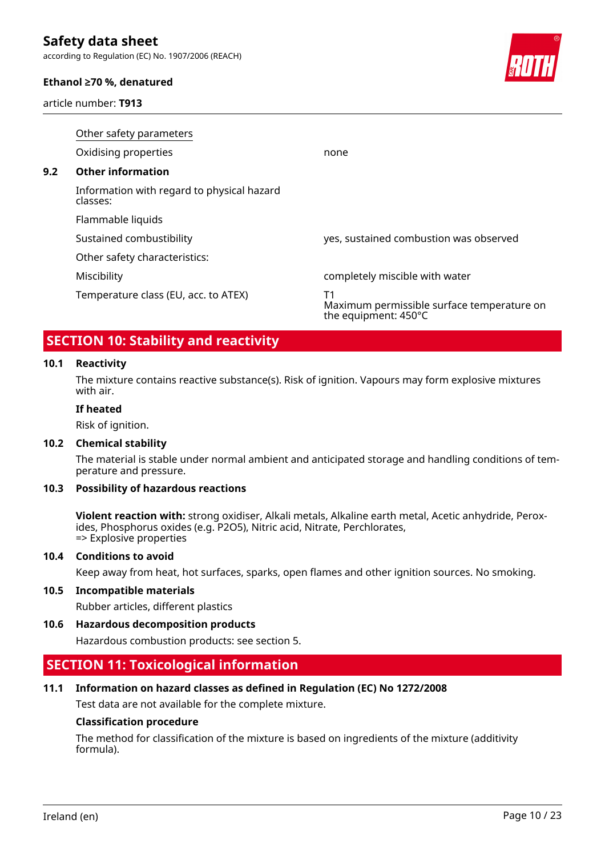according to Regulation (EC) No. 1907/2006 (REACH)

#### **Ethanol ≥70 %, denatured**

article number: **T913**



|     | Other safety parameters                                |                                                                          |  |  |  |  |  |  |
|-----|--------------------------------------------------------|--------------------------------------------------------------------------|--|--|--|--|--|--|
|     | Oxidising properties                                   | none                                                                     |  |  |  |  |  |  |
| 9.2 | <b>Other information</b>                               |                                                                          |  |  |  |  |  |  |
|     | Information with regard to physical hazard<br>classes: |                                                                          |  |  |  |  |  |  |
|     | Flammable liquids                                      |                                                                          |  |  |  |  |  |  |
|     | Sustained combustibility                               | yes, sustained combustion was observed                                   |  |  |  |  |  |  |
|     | Other safety characteristics:                          |                                                                          |  |  |  |  |  |  |
|     | Miscibility                                            | completely miscible with water                                           |  |  |  |  |  |  |
|     | Temperature class (EU, acc. to ATEX)                   | Τ1<br>Maximum permissible surface temperature on<br>the equipment: 450°C |  |  |  |  |  |  |

# **SECTION 10: Stability and reactivity**

### **10.1 Reactivity**

The mixture contains reactive substance(s). Risk of ignition. Vapours may form explosive mixtures with air.

# **If heated**

Risk of ignition.

#### **10.2 Chemical stability**

The material is stable under normal ambient and anticipated storage and handling conditions of temperature and pressure.

#### **10.3 Possibility of hazardous reactions**

**Violent reaction with:** strong oxidiser, Alkali metals, Alkaline earth metal, Acetic anhydride, Peroxides, Phosphorus oxides (e.g. P2O5), Nitric acid, Nitrate, Perchlorates, => Explosive properties

#### **10.4 Conditions to avoid**

Keep away from heat, hot surfaces, sparks, open flames and other ignition sources. No smoking.

#### **10.5 Incompatible materials**

Rubber articles, different plastics

#### **10.6 Hazardous decomposition products**

Hazardous combustion products: see section 5.

# **SECTION 11: Toxicological information**

#### **11.1 Information on hazard classes as defined in Regulation (EC) No 1272/2008**

Test data are not available for the complete mixture.

#### **Classification procedure**

The method for classification of the mixture is based on ingredients of the mixture (additivity formula).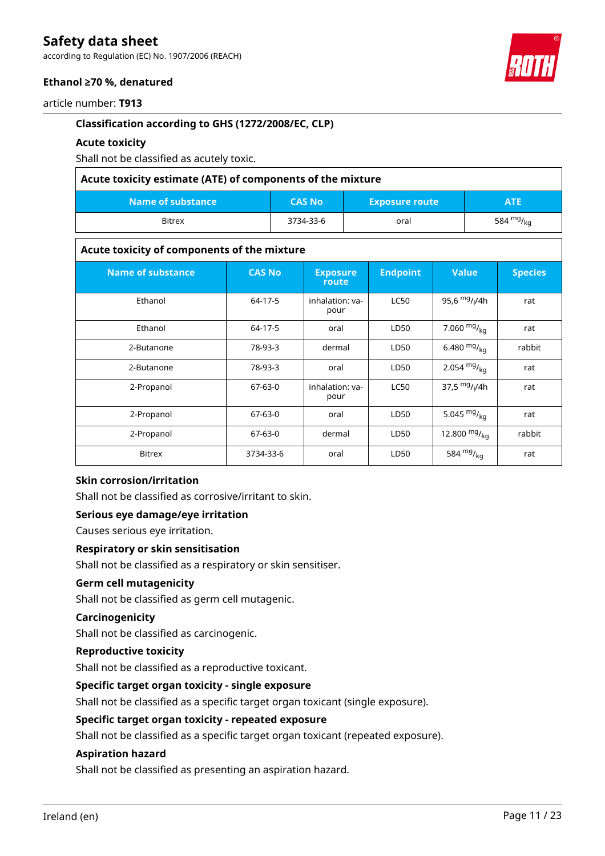according to Regulation (EC) No. 1907/2006 (REACH)

### **Ethanol ≥70 %, denatured**

article number: **T913**

### **Classification according to GHS (1272/2008/EC, CLP)**

### **Acute toxicity**

Shall not be classified as acutely toxic.

| Acute toxicity estimate (ATE) of components of the mixture |               |                       |             |  |  |
|------------------------------------------------------------|---------------|-----------------------|-------------|--|--|
| Name of substance <b>b</b>                                 | <b>CAS No</b> | <b>Exposure route</b> | <b>ATE</b>  |  |  |
| <b>Bitrex</b>                                              | 3734-33-6     | oral                  | 584 $mg/kq$ |  |  |

#### **Acute toxicity of components of the mixture**

| <b>Name of substance</b> | <b>CAS No</b> | <b>Exposure</b><br>route | <b>Endpoint</b> | <b>Value</b>     | <b>Species</b> |
|--------------------------|---------------|--------------------------|-----------------|------------------|----------------|
| Ethanol                  | 64-17-5       | inhalation: ya-<br>pour  | <b>LC50</b>     | 95,6 $mg/1/4h$   | rat            |
| Ethanol                  | 64-17-5       | oral                     | LD50            | 7.060 $mg/_{kq}$ | rat            |
| 2-Butanone               | 78-93-3       | dermal                   | LD50            | 6.480 $mg/_{kq}$ | rabbit         |
| 2-Butanone               | 78-93-3       | oral                     | LD50            | 2.054 $mg/kq$    | rat            |
| 2-Propanol               | $67-63-0$     | inhalation: va-<br>pour  | <b>LC50</b>     | 37,5 $mg/1/4h$   | rat            |
| 2-Propanol               | $67-63-0$     | oral                     | LD50            | 5.045 $mg/kq$    | rat            |
| 2-Propanol               | $67-63-0$     | dermal                   | LD50            | 12.800 $mg/kq$   | rabbit         |
| <b>Bitrex</b>            | 3734-33-6     | oral                     | LD50            | 584 $mg/_{kq}$   | rat            |

### **Skin corrosion/irritation**

Shall not be classified as corrosive/irritant to skin.

#### **Serious eye damage/eye irritation**

Causes serious eye irritation.

#### **Respiratory or skin sensitisation**

Shall not be classified as a respiratory or skin sensitiser.

### **Germ cell mutagenicity**

Shall not be classified as germ cell mutagenic.

# **Carcinogenicity**

Shall not be classified as carcinogenic.

### **Reproductive toxicity**

Shall not be classified as a reproductive toxicant.

#### **Specific target organ toxicity - single exposure**

Shall not be classified as a specific target organ toxicant (single exposure).

### **Specific target organ toxicity - repeated exposure**

Shall not be classified as a specific target organ toxicant (repeated exposure).

#### **Aspiration hazard**

Shall not be classified as presenting an aspiration hazard.

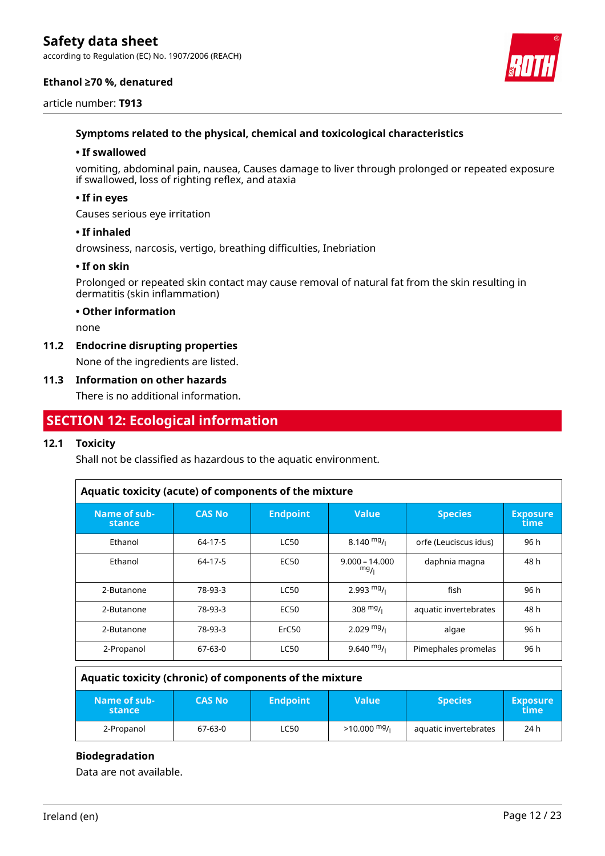according to Regulation (EC) No. 1907/2006 (REACH)

#### **Ethanol ≥70 %, denatured**





#### **Symptoms related to the physical, chemical and toxicological characteristics**

#### **• If swallowed**

vomiting, abdominal pain, nausea, Causes damage to liver through prolonged or repeated exposure if swallowed, loss of righting reflex, and ataxia

#### **• If in eyes**

Causes serious eye irritation

#### **• If inhaled**

drowsiness, narcosis, vertigo, breathing difficulties, Inebriation

#### **• If on skin**

Prolonged or repeated skin contact may cause removal of natural fat from the skin resulting in dermatitis (skin inflammation)

#### **• Other information**

none

#### **11.2 Endocrine disrupting properties**

None of the ingredients are listed.

#### **11.3 Information on other hazards**

There is no additional information.

# **SECTION 12: Ecological information**

### **12.1 Toxicity**

Shall not be classified as hazardous to the aquatic environment.

| Aquatic toxicity (acute) of components of the mixture |                |                 |                         |                       |                         |  |
|-------------------------------------------------------|----------------|-----------------|-------------------------|-----------------------|-------------------------|--|
| Name of sub-<br>stance                                | <b>CAS No.</b> | <b>Endpoint</b> | <b>Value</b>            | <b>Species</b>        | <b>Exposure</b><br>time |  |
| Ethanol                                               | 64-17-5        | <b>LC50</b>     | $8.140 \frac{mg}{L}$    | orfe (Leuciscus idus) | 96 h                    |  |
| Ethanol                                               | 64-17-5        | <b>EC50</b>     | $9.000 - 14.000$<br>mg/ | daphnia magna         | 48 h                    |  |
| 2-Butanone                                            | 78-93-3        | <b>LC50</b>     | 2.993 $mg/$             | fish                  | 96 h                    |  |
| 2-Butanone                                            | 78-93-3        | <b>EC50</b>     | 308 $mg/1$              | aquatic invertebrates | 48 h                    |  |
| 2-Butanone                                            | 78-93-3        | ErC50           | $2.029$ mg/i            | algae                 | 96 h                    |  |
| 2-Propanol                                            | 67-63-0        | <b>LC50</b>     | 9.640 $mg/$             | Pimephales promelas   | 96 h                    |  |

| Aquatic toxicity (chronic) of components of the mixture |               |                 |               |                       |                         |  |  |
|---------------------------------------------------------|---------------|-----------------|---------------|-----------------------|-------------------------|--|--|
| Name of sub-<br>stance                                  | <b>CAS No</b> | <b>Endpoint</b> | <b>Value</b>  | <b>Species</b>        | <b>Exposure</b><br>time |  |  |
| 2-Propanol                                              | 67-63-0       | <b>LC50</b>     | $>10.000$ mg/ | aquatic invertebrates | 24 h                    |  |  |

### **Biodegradation**

Data are not available.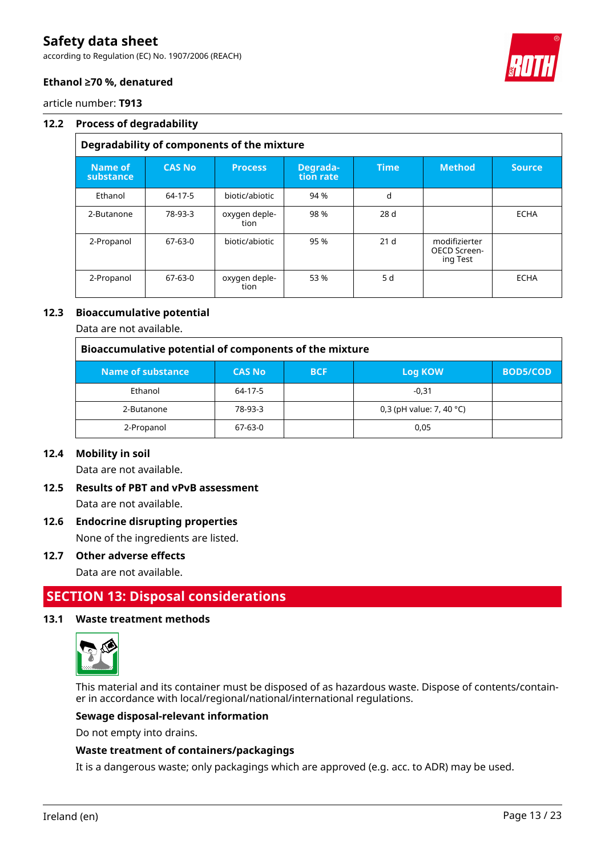according to Regulation (EC) No. 1907/2006 (REACH)



### **Ethanol ≥70 %, denatured**

article number: **T913**

#### **12.2 Process of degradability**

# **Degradability of components of the mixture**

| Name of<br>substance | <b>CAS No</b> | <b>Process</b>        | Degrada-<br>tion rate | <b>Time</b>     | <b>Method</b>                             | <b>Source</b> |
|----------------------|---------------|-----------------------|-----------------------|-----------------|-------------------------------------------|---------------|
| Ethanol              | 64-17-5       | biotic/abiotic        | 94 %                  | d               |                                           |               |
| 2-Butanone           | 78-93-3       | oxygen deple-<br>tion | 98 %                  | 28 d            |                                           | <b>ECHA</b>   |
| 2-Propanol           | $67-63-0$     | biotic/abiotic        | 95 %                  | 21 <sub>d</sub> | modifizierter<br>OECD Screen-<br>ing Test |               |
| 2-Propanol           | 67-63-0       | oxygen deple-<br>tion | 53 %                  | 5 d             |                                           | <b>ECHA</b>   |

# **12.3 Bioaccumulative potential**

Data are not available.

| Bioaccumulative potential of components of the mixture |               |            |                                    |                 |  |  |  |
|--------------------------------------------------------|---------------|------------|------------------------------------|-----------------|--|--|--|
| Name of substance                                      | <b>CAS No</b> | <b>BCF</b> | Log KOW                            | <b>BOD5/COD</b> |  |  |  |
| Ethanol                                                | 64-17-5       |            | $-0.31$                            |                 |  |  |  |
| 2-Butanone                                             | 78-93-3       |            | 0,3 (pH value: 7, 40 $^{\circ}$ C) |                 |  |  |  |
| 2-Propanol                                             | 67-63-0       |            | 0.05                               |                 |  |  |  |

#### **12.4 Mobility in soil**

Data are not available.

# **12.5 Results of PBT and vPvB assessment** Data are not available.

# **12.6 Endocrine disrupting properties**

None of the ingredients are listed.

#### **12.7 Other adverse effects**

Data are not available.

# **SECTION 13: Disposal considerations**

#### **13.1 Waste treatment methods**



This material and its container must be disposed of as hazardous waste. Dispose of contents/container in accordance with local/regional/national/international regulations.

#### **Sewage disposal-relevant information**

Do not empty into drains.

#### **Waste treatment of containers/packagings**

It is a dangerous waste; only packagings which are approved (e.g. acc. to ADR) may be used.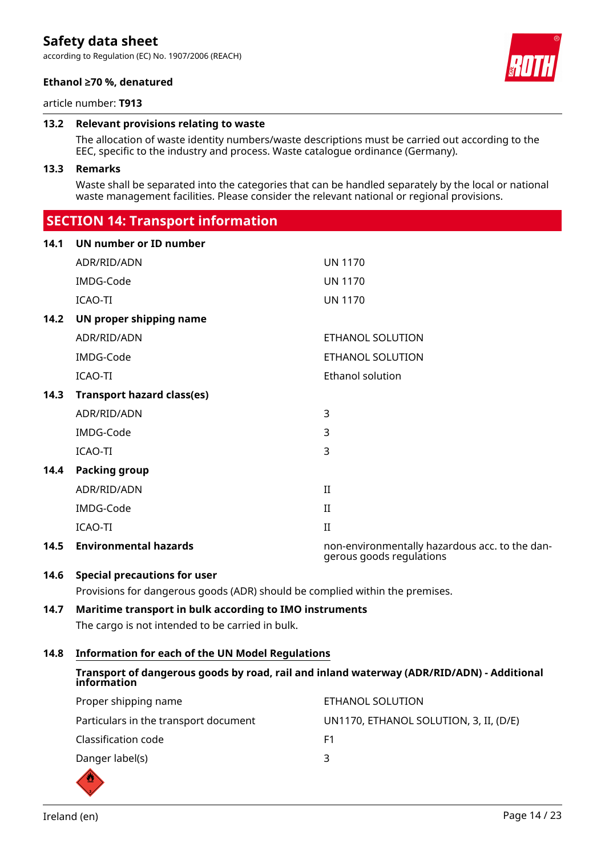according to Regulation (EC) No. 1907/2006 (REACH)





article number: **T913**

#### **13.2 Relevant provisions relating to waste**

The allocation of waste identity numbers/waste descriptions must be carried out according to the EEC, specific to the industry and process. Waste catalogue ordinance (Germany).

#### **13.3 Remarks**

Waste shall be separated into the categories that can be handled separately by the local or national waste management facilities. Please consider the relevant national or regional provisions.

# **SECTION 14: Transport information**

| 14.1 | UN number or ID number            |                                                                            |
|------|-----------------------------------|----------------------------------------------------------------------------|
|      | ADR/RID/ADN                       | <b>UN 1170</b>                                                             |
|      | IMDG-Code                         | <b>UN 1170</b>                                                             |
|      | ICAO-TI                           | <b>UN 1170</b>                                                             |
| 14.2 | UN proper shipping name           |                                                                            |
|      | ADR/RID/ADN                       | ETHANOL SOLUTION                                                           |
|      | IMDG-Code                         | ETHANOL SOLUTION                                                           |
|      | <b>ICAO-TI</b>                    | Ethanol solution                                                           |
| 14.3 | <b>Transport hazard class(es)</b> |                                                                            |
|      | ADR/RID/ADN                       | 3                                                                          |
|      | IMDG-Code                         | 3                                                                          |
|      | <b>ICAO-TI</b>                    | 3                                                                          |
| 14.4 | <b>Packing group</b>              |                                                                            |
|      | ADR/RID/ADN                       | $\rm II$                                                                   |
|      | IMDG-Code                         | $\rm II$                                                                   |
|      | <b>ICAO-TI</b>                    | II                                                                         |
| 14.5 | <b>Environmental hazards</b>      | non-environmentally hazardous acc. to the dan-<br>gerous goods regulations |

### **14.6 Special precautions for user**

Provisions for dangerous goods (ADR) should be complied within the premises.

# **14.7 Maritime transport in bulk according to IMO instruments**

The cargo is not intended to be carried in bulk.

### **14.8 Information for each of the UN Model Regulations**

# **Transport of dangerous goods by road, rail and inland waterway (ADR/RID/ADN) - Additional information**

| Proper shipping name                  | ETHANOL SOLUTION                       |
|---------------------------------------|----------------------------------------|
| Particulars in the transport document | UN1170, ETHANOL SOLUTION, 3, II, (D/E) |
| Classification code                   | F1                                     |
| Danger label(s)                       | ₹                                      |

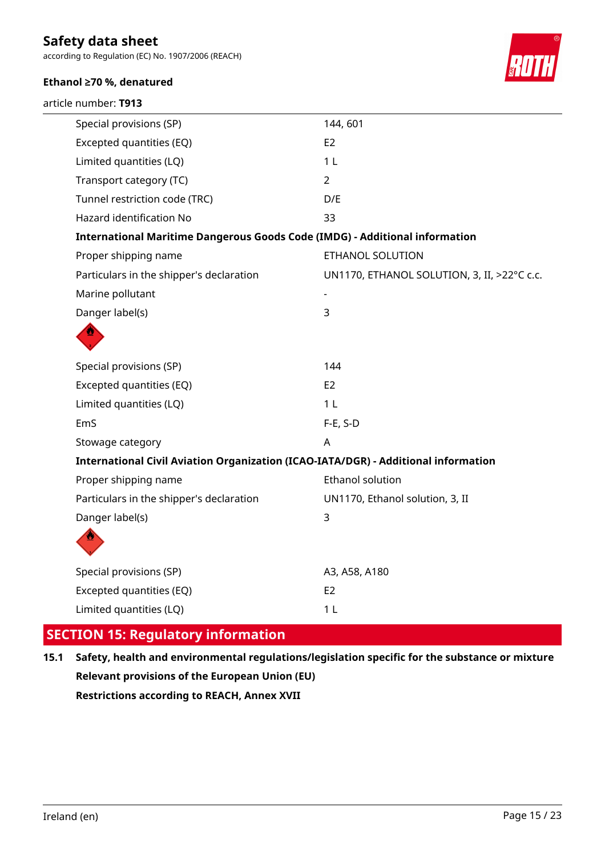according to Regulation (EC) No. 1907/2006 (REACH)

# **Ethanol ≥70 %, denatured**





| Special provisions (SP)                                                            | 144,601                                     |
|------------------------------------------------------------------------------------|---------------------------------------------|
| Excepted quantities (EQ)                                                           | E <sub>2</sub>                              |
| Limited quantities (LQ)                                                            | 1 <sub>L</sub>                              |
| Transport category (TC)                                                            | $\overline{2}$                              |
| Tunnel restriction code (TRC)                                                      | D/E                                         |
| Hazard identification No                                                           | 33                                          |
| <b>International Maritime Dangerous Goods Code (IMDG) - Additional information</b> |                                             |
| Proper shipping name                                                               | ETHANOL SOLUTION                            |
| Particulars in the shipper's declaration                                           | UN1170, ETHANOL SOLUTION, 3, II, >22°C c.c. |
| Marine pollutant                                                                   |                                             |
| Danger label(s)                                                                    | 3                                           |
|                                                                                    |                                             |
| Special provisions (SP)                                                            | 144                                         |
| Excepted quantities (EQ)                                                           | E <sub>2</sub>                              |
| Limited quantities (LQ)                                                            | 1 <sub>L</sub>                              |
| EmS                                                                                | $F-E$ , S-D                                 |
| Stowage category                                                                   | A                                           |
| International Civil Aviation Organization (ICAO-IATA/DGR) - Additional information |                                             |
| Proper shipping name                                                               | <b>Ethanol solution</b>                     |
| Particulars in the shipper's declaration                                           | UN1170, Ethanol solution, 3, II             |
| Danger label(s)                                                                    | 3                                           |
|                                                                                    |                                             |
| Special provisions (SP)                                                            | A3, A58, A180                               |
| Excepted quantities (EQ)                                                           | E <sub>2</sub>                              |
| Limited quantities (LQ)                                                            | 1 <sub>L</sub>                              |

# **SECTION 15: Regulatory information**

**15.1 Safety, health and environmental regulations/legislation specific for the substance or mixture Relevant provisions of the European Union (EU) Restrictions according to REACH, Annex XVII**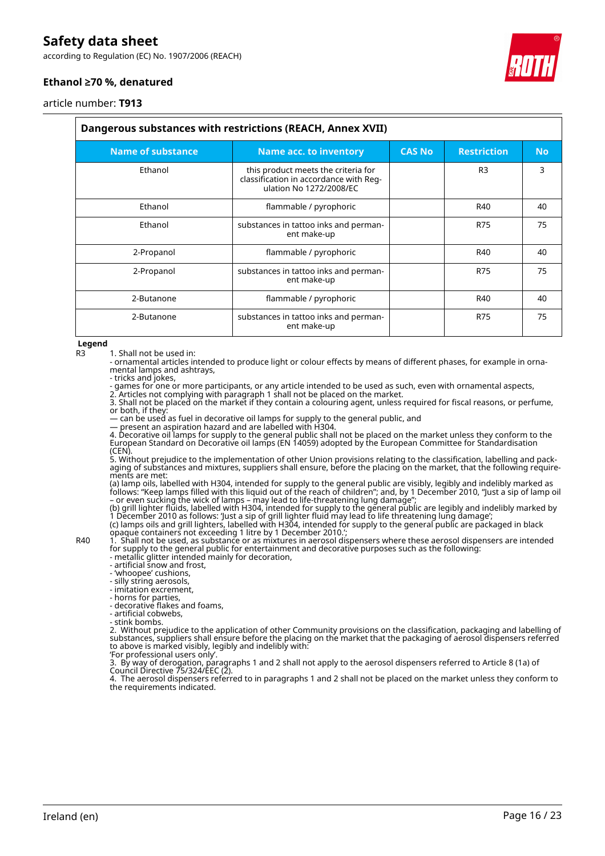according to Regulation (EC) No. 1907/2006 (REACH)



### **Ethanol ≥70 %, denatured**

article number: **T913**

| Dangerous substances with restrictions (REACH, Annex XVII) |                                                                                                          |               |                    |           |  |
|------------------------------------------------------------|----------------------------------------------------------------------------------------------------------|---------------|--------------------|-----------|--|
| <b>Name of substance</b>                                   | <b>Name acc. to inventory</b>                                                                            | <b>CAS No</b> | <b>Restriction</b> | <b>No</b> |  |
| Ethanol                                                    | this product meets the criteria for<br>classification in accordance with Reg-<br>ulation No 1272/2008/EC |               | R <sub>3</sub>     | 3         |  |
| Ethanol                                                    | flammable / pyrophoric                                                                                   |               | R40                | 40        |  |
| Ethanol                                                    | substances in tattoo inks and perman-<br>ent make-up                                                     |               | <b>R75</b>         | 75        |  |
| 2-Propanol                                                 | flammable / pyrophoric                                                                                   |               | R40                | 40        |  |
| 2-Propanol                                                 | substances in tattoo inks and perman-<br>ent make-up                                                     |               | <b>R75</b>         | 75        |  |
| 2-Butanone                                                 | flammable / pyrophoric                                                                                   |               | R40                | 40        |  |
| 2-Butanone                                                 | substances in tattoo inks and perman-<br>ent make-up                                                     |               | <b>R75</b>         | 75        |  |

#### **Legend**

R3 1. Shall not be used in:

- ornamental articles intended to produce light or colour effects by means of different phases, for example in ornamental lamps and ashtrays,

- tricks and jokes,

- games for one or more participants, or any article intended to be used as such, even with ornamental aspects,

2. Articles not complying with paragraph 1 shall not be placed on the market.

3. Shall not be placed on the market if they contain a colouring agent, unless required for fiscal reasons, or perfume, or both, if they:

— can be used as fuel in decorative oil lamps for supply to the general public, and

— present an aspiration hazard and are labelled with H304.

4. Decorative oil lamps for supply to the general public shall not be placed on the market unless they conform to the European Standard on Decorative oil lamps (EN 14059) adopted by the European Committee for Standardisation (CEN).

5. Without prejudice to the implementation of other Union provisions relating to the classification, labelling and packaging of substances and mixtures, suppliers shall ensure, before the placing on the market, that the following requirements are met:

(a) lamp oils, labelled with H304, intended for supply to the general public are visibly, legibly and indelibly marked as follows: "Keep lamps filled with this liquid out of the reach of children"; and, by 1 December 2010, "Just a sip of lamp oil – or even sucking the wick of lamps – may lead to life-threatening lung damage";

(b) grill lighter fluids, labelled with H304, intended for supply to the general public are legibly and indelibly marked by 1 December 2010 as follows: 'Just a sip of grill lighter fluid may lead to life threatening lung damage'; (c) lamps oils and grill lighters, labelled with H304, intended for supply to the general public are packaged in black

opaque containers not exceeding 1 litre by 1 December 2010.'; R40 1. Shall not be used, as substance or as mixtures in aerosol dispensers where these aerosol dispensers are intended

for supply to the general public for entertainment and decorative purposes such as the following: - metallic glitter intended mainly for decoration,

- artificial snow and frost,

- 'whoopee' cushions,

- silly string aerosols,

- imitation excrement,

- horns for parties,

- decorative flakes and foams,

- artificial cobwebs, - stink bombs.

2. Without prejudice to the application of other Community provisions on the classification, packaging and labelling of substances, suppliers shall ensure before the placing on the market that the packaging of aerosol dispensers referred to above is marked visibly, legibly and indelibly with:

'For professional users only'.

3. By way of derogation, paragraphs 1 and 2 shall not apply to the aerosol dispensers referred to Article 8 (1a) of Council Directive 75/324/EEC (2).

4. The aerosol dispensers referred to in paragraphs 1 and 2 shall not be placed on the market unless they conform to the requirements indicated.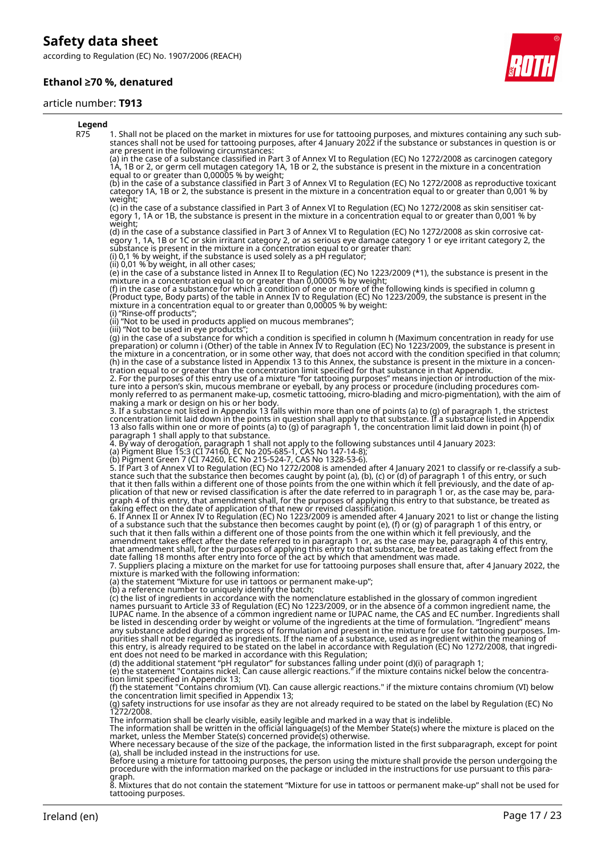according to Regulation (EC) No. 1907/2006 (REACH)

### **Ethanol ≥70 %, denatured**

#### article number: **T913**



#### **Legend**

R75 1. Shall not be placed on the market in mixtures for use for tattooing purposes, and mixtures containing any such substances shall not be used for tattooing purposes, after 4 January 2022 if the substance or substances in question is or are present in the following circumstances:

(a) in the case of a substance classified in Part 3 of Annex VI to Regulation (EC) No 1272/2008 as carcinogen category 1A, 1B or 2, or germ cell mutagen category 1A, 1B or 2, the substance is present in the mixture in a concentration equal to or greater than 0,00005 % by weight;

(b) in the case of a substance classified in Part 3 of Annex VI to Regulation (EC) No 1272/2008 as reproductive toxicant category 1A, 1B or 2, the substance is present in the mixture in a concentration equal to or greater than 0,001 % by weight;

(c) in the case of a substance classified in Part 3 of Annex VI to Regulation (EC) No 1272/2008 as skin sensitiser category 1, 1A or 1B, the substance is present in the mixture in a concentration equal to or greater than 0,001 % by weight;

(d) in the case of a substance classified in Part 3 of Annex VI to Regulation (EC) No 1272/2008 as skin corrosive category 1, 1A, 1B or 1C or skin irritant category 2, or as serious eye damage category 1 or eye irritant category 2, the substance is present in the mixture in a concentration equal to or greater than: (i) 0,1 % by weight, if the substance is used solely as a pH regulator;

(ii) 0,01 % by weight, in all other cases;

(e) in the case of a substance listed in Annex II to Regulation (EC) No 1223/2009 (\*1), the substance is present in the mixture in a concentration equal to or greater than 0,00005 % by weight;

(f) in the case of a substance for which a condition of one or more of the following kinds is specified in column g (Product type, Body parts) of the table in Annex IV to Regulation (EC) No 1223/2009, the substance is present in the mixture in a concentration equal to or greater than 0,00005 % by weight: (i) "Rinse-off products";

(ii) "Not to be used in products applied on mucous membranes";

(iii) "Not to be used in eye products";

(g) in the case of a substance for which a condition is specified in column h (Maximum concentration in ready for use preparation) or column i (Other) of the table in Annex IV to Regulation (EC) No 1223/2009, the substance is present in the mixture in a concentration, or in some other way, that does not accord with the condition specified in that column; (h) in the case of a substance listed in Appendix 13 to this Annex, the substance is present in the mixture in a concentration equal to or greater than the concentration limit specified for that substance in that Appendix. 2. For the purposes of this entry use of a mixture "for tattooing purposes" means injection or introduction of the mixture into a person's skin, mucous membrane or eyeball, by any process or procedure (including procedures com-

monly referred to as permanent make-up, cosmetic tattooing, micro-blading and micro-pigmentation), with the aim of making a mark or design on his or her body.

3. If a substance not listed in Appendix 13 falls within more than one of points (a) to (g) of paragraph 1, the strictest concentration limit laid down in the points in question shall apply to that substance. If a substance listed in Appendix 13 also falls within one or more of points (a) to (g) of paragraph 1, the concentration limit laid down in point (h) of paragraph 1 shall apply to that substance.

4. By way of derogation, paragraph 1 shall not apply to the following substances until 4 January 2023:

(a) Pigment Blue 15:3 (CI 74160, EC No 205-685-1, CAS No 147-14-8);

(b) Pigment Green 7 (CI 74260, EC No 215-524-7, CAS No 1328-53-6).

5. If Part 3 of Annex VI to Regulation (EC) No 1272/2008 is amended after 4 January 2021 to classify or re-classify a substance such that the substance then becomes caught by point (a), (b), (c) or (d) of paragraph 1 of this entry, or such that it then falls within a different one of those points from the one within which it fell previously, and the date of application of that new or revised classification is after the date referred to in paragraph 1 or, as the case may be, paragraph 4 of this entry, that amendment shall, for the purposes of applying this entry to that substance, be treated as taking effect on the date of application of that new or revised classification.

6. If Annex II or Annex IV to Regulation (EC) No 1223/2009 is amended after 4 January 2021 to list or change the listing of a substance such that the substance then becomes caught by point (e), (f) or (g) of paragraph 1 of this entry, or such that it then falls within a different one of those points from the one within which it fell previously, and the amendment takes effect after the date referred to in paragraph 1 or, as the case may be, paragraph 4 of this entry,

that amendment shall, for the purposes of applying this entry to that substance, be treated as taking effect from the date falling 18 months after entry into force of the act by which that amendment was made.

7. Suppliers placing a mixture on the market for use for tattooing purposes shall ensure that, after 4 January 2022, the mixture is marked with the following information:

(a) the statement "Mixture for use in tattoos or permanent make-up";

(b) a reference number to uniquely identify the batch;

(c) the list of ingredients in accordance with the nomenclature established in the glossary of common ingredient names pursuant to Article 33 of Regulation (EC) No 1223/2009, or in the absence of a common ingredient name, the IUPAC name. In the absence of a common ingredient name or IUPAC name, the CAS and EC number. Ingredients shall be listed in descending order by weight or volume of the ingredients at the time of formulation. "Ingredient" means any substance added during the process of formulation and present in the mixture for use for tattooing purposes. Impurities shall not be regarded as ingredients. If the name of a substance, used as ingredient within the meaning of this entry, is already required to be stated on the label in accordance with Regulation (EC) No 1272/2008, that ingredient does not need to be marked in accordance with this Regulation;

(d) the additional statement "pH regulator" for substances falling under point (d)(i) of paragraph 1;

(e) the statement "Contains nickel. Can cause allergic reactions." if the mixture contains nickel below the concentration limit specified in Appendix 13;

(f) the statement "Contains chromium (VI). Can cause allergic reactions." if the mixture contains chromium (VI) below the concentration limit specified in Appendix 13;

(g) safety instructions for use insofar as they are not already required to be stated on the label by Regulation (EC) No 1272/2008.

The information shall be clearly visible, easily legible and marked in a way that is indelible.<br>The information shall be written in the official language(s) of the Member State(s) where the mixture is placed on the<br>market,

Where necessary because of the size of the package, the information listed in the first subparagraph, except for point (a), shall be included instead in the instructions for use.

Before using a mixture for tattooing purposes, the person using the mixture shall provide the person undergoing the procedure with the information marked on the package or included in the instructions for use pursuant to this paragraph.

8. Mixtures that do not contain the statement "Mixture for use in tattoos or permanent make-up" shall not be used for tattooing purposes.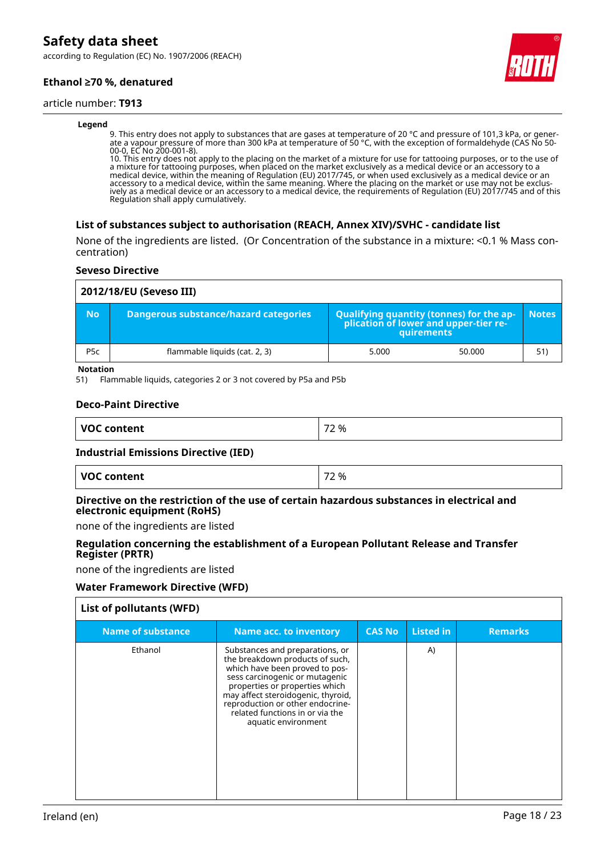according to Regulation (EC) No. 1907/2006 (REACH)

### **Ethanol ≥70 %, denatured**

#### article number: **T913**

#### **Legend**

9. This entry does not apply to substances that are gases at temperature of 20 °C and pressure of 101,3 kPa, or generate a vapour pressure of more than 300 kPa at temperature of 50 °C, with the exception of formaldehyde (CAS No 50- 00-0, EC No 200-001-8).

10. This entry does not apply to the placing on the market of a mixture for use for tattooing purposes, or to the use of a mixture for tattooing purposes, when placed on the market exclusively as a medical device or an accessory to a medical device, within the meaning of Regulation (EU) 2017/745, or when used exclusively as a medical device or an accessory to a medical device, within the same meaning. Where the placing on the market or use may not be exclusively as a medical device or an accessory to a medical device, the requirements of Regulation (EU) 2017/745 and of this Regulation shall apply cumulatively.

#### **List of substances subject to authorisation (REACH, Annex XIV)/SVHC - candidate list**

None of the ingredients are listed. (Or Concentration of the substance in a mixture: <0.1 % Mass concentration)

#### **Seveso Directive**

|                  | 2012/18/EU (Seveso III)               |                                                                                            |        |              |  |  |  |
|------------------|---------------------------------------|--------------------------------------------------------------------------------------------|--------|--------------|--|--|--|
| <b>No</b>        | Dangerous substance/hazard categories | Qualifying quantity (tonnes) for the application of lower and upper-tier re-<br>quirements |        | <b>Notes</b> |  |  |  |
| P <sub>5</sub> c | flammable liquids (cat. 2, 3)         | 5.000                                                                                      | 50.000 | 51)          |  |  |  |

#### **Notation**

51) Flammable liquids, categories 2 or 3 not covered by P5a and P5b

#### **Deco-Paint Directive**

| <b>VOC</b><br><b>Content</b> | --<br>%<br>∼ |
|------------------------------|--------------|
|                              |              |

#### **Industrial Emissions Directive (IED)**

| <b>VOC content</b> | 72 % |
|--------------------|------|
|                    |      |

#### **Directive on the restriction of the use of certain hazardous substances in electrical and electronic equipment (RoHS)**

none of the ingredients are listed

#### **Regulation concerning the establishment of a European Pollutant Release and Transfer Register (PRTR)**

none of the ingredients are listed

#### **Water Framework Directive (WFD)**

| <b>Name of substance</b> | Name acc. to inventory                                                                                                                                                                                                                                                                                       | <b>CAS No</b> | <b>Listed in</b> | <b>Remarks</b> |
|--------------------------|--------------------------------------------------------------------------------------------------------------------------------------------------------------------------------------------------------------------------------------------------------------------------------------------------------------|---------------|------------------|----------------|
| Ethanol                  | Substances and preparations, or<br>the breakdown products of such,<br>which have been proved to pos-<br>sess carcinogenic or mutagenic<br>properties or properties which<br>may affect steroidogenic, thyroid,<br>reproduction or other endocrine-<br>related functions in or via the<br>aquatic environment |               | A)               |                |

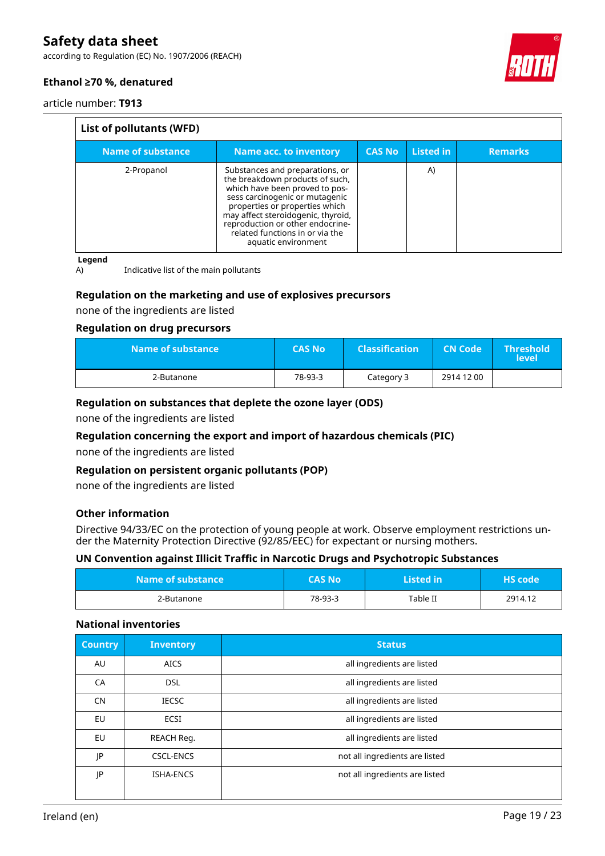according to Regulation (EC) No. 1907/2006 (REACH)



# **Ethanol ≥70 %, denatured**

article number: **T913**

| List of pollutants (WFD) |                                                                                                                                                                                                                                                                                                              |               |           |                |
|--------------------------|--------------------------------------------------------------------------------------------------------------------------------------------------------------------------------------------------------------------------------------------------------------------------------------------------------------|---------------|-----------|----------------|
| Name of substance        | <b>Name acc. to inventory</b>                                                                                                                                                                                                                                                                                | <b>CAS No</b> | Listed in | <b>Remarks</b> |
| 2-Propanol               | Substances and preparations, or<br>the breakdown products of such,<br>which have been proved to pos-<br>sess carcinogenic or mutagenic<br>properties or properties which<br>may affect steroidogenic, thyroid,<br>reproduction or other endocrine-<br>related functions in or via the<br>aquatic environment |               | A)        |                |

**Legend**

A) Indicative list of the main pollutants

### **Regulation on the marketing and use of explosives precursors**

none of the ingredients are listed

#### **Regulation on drug precursors**

| Name of substance \ | <b>CAS No</b> | <b>Classification</b> | <b>CN Code</b> | <b>Threshold</b><br><b>level</b> |
|---------------------|---------------|-----------------------|----------------|----------------------------------|
| 2-Butanone          | 78-93-3       | Category 3            | 2914 12 00     |                                  |

#### **Regulation on substances that deplete the ozone layer (ODS)**

none of the ingredients are listed

#### **Regulation concerning the export and import of hazardous chemicals (PIC)**

none of the ingredients are listed

#### **Regulation on persistent organic pollutants (POP)**

none of the ingredients are listed

#### **Other information**

Directive 94/33/EC on the protection of young people at work. Observe employment restrictions under the Maternity Protection Directive (92/85/EEC) for expectant or nursing mothers.

### **UN Convention against Illicit Traffic in Narcotic Drugs and Psychotropic Substances**

| Name of substance | <b>CAS No</b> | Listed in | <b>HS</b> code |
|-------------------|---------------|-----------|----------------|
| 2-Butanone        | 78-93-3       | Table II  | 2914.12        |

#### **National inventories**

| <b>Country</b> | <b>Inventory</b> | <b>Status</b>                  |
|----------------|------------------|--------------------------------|
| AU             | <b>AICS</b>      | all ingredients are listed     |
| CA             | <b>DSL</b>       | all ingredients are listed     |
| <b>CN</b>      | <b>IECSC</b>     | all ingredients are listed     |
| <b>EU</b>      | <b>ECSI</b>      | all ingredients are listed     |
| <b>EU</b>      | REACH Reg.       | all ingredients are listed     |
| JP             | <b>CSCL-ENCS</b> | not all ingredients are listed |
| JP             | <b>ISHA-ENCS</b> | not all ingredients are listed |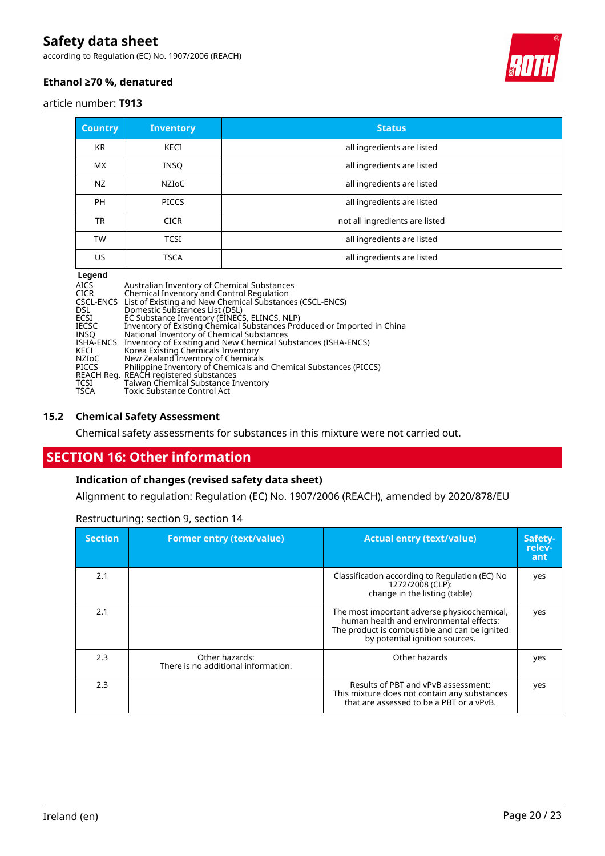according to Regulation (EC) No. 1907/2006 (REACH)



# **Ethanol ≥70 %, denatured**

#### article number: **T913**

| <b>Country</b> | <b>Inventory</b>   | <b>Status</b>                  |
|----------------|--------------------|--------------------------------|
| <b>KR</b>      | KECI               | all ingredients are listed     |
| <b>MX</b>      | <b>INSO</b>        | all ingredients are listed     |
| NZ             | NZI <sub>O</sub> C | all ingredients are listed     |
| PH             | <b>PICCS</b>       | all ingredients are listed     |
| <b>TR</b>      | <b>CICR</b>        | not all ingredients are listed |
| TW             | <b>TCSI</b>        | all ingredients are listed     |
| US.            | <b>TSCA</b>        | all ingredients are listed     |

#### **Legend**

| AICS  | Australian Inventory of Chemical Substances                             |
|-------|-------------------------------------------------------------------------|
| CICR  | Chemical Inventory and Control Regulation                               |
|       | CSCL-ENCS List of Existing and New Chemical Substances (CSCL-ENCS)      |
| DSL.  | Domestic Substances List (DSL)                                          |
| ECSI  | EC Substance Inventory (EINECS, ELINCS, NLP)                            |
| IECSC | Inventory of Existing Chemical Substances Produced or Imported in China |
| INSO  | National Inventory of Chemical Substances                               |
|       | ISHA-ENCS Inventory of Existing and New Chemical Substances (ISHA-ENCS) |
| KECI  | Korea Existing Chemicals Inventory                                      |
| NZIoC | New Zealand Inventory of Chemicals                                      |
| PICCS | Philippine Inventory of Chemicals and Chemical Substances (PICCS)       |
|       | REACH Reg. REACH registered substances                                  |
| TCSI  | Taiwan Chemical Substance Inventory                                     |
| TSCA  | Toxic Substance Control Act                                             |

#### **15.2 Chemical Safety Assessment**

Chemical safety assessments for substances in this mixture were not carried out.

# **SECTION 16: Other information**

### **Indication of changes (revised safety data sheet)**

Alignment to regulation: Regulation (EC) No. 1907/2006 (REACH), amended by 2020/878/EU

| <b>Section</b> | <b>Former entry (text/value)</b>                      | <b>Actual entry (text/value)</b>                                                                                                                                          | Safety-<br>relev-<br>ant |
|----------------|-------------------------------------------------------|---------------------------------------------------------------------------------------------------------------------------------------------------------------------------|--------------------------|
| 2.1            |                                                       | Classification according to Regulation (EC) No<br>1272/2008 (CLP):<br>change in the listing (table)                                                                       | yes                      |
| 2.1            |                                                       | The most important adverse physicochemical,<br>human health and environmental effects:<br>The product is combustible and can be ignited<br>by potential ignition sources. | yes                      |
| 2.3            | Other hazards:<br>There is no additional information. | Other hazards                                                                                                                                                             | yes                      |
| 2.3            |                                                       | Results of PBT and vPvB assessment:<br>This mixture does not contain any substances<br>that are assessed to be a PBT or a vPvB.                                           | yes                      |

Restructuring: section 9, section 14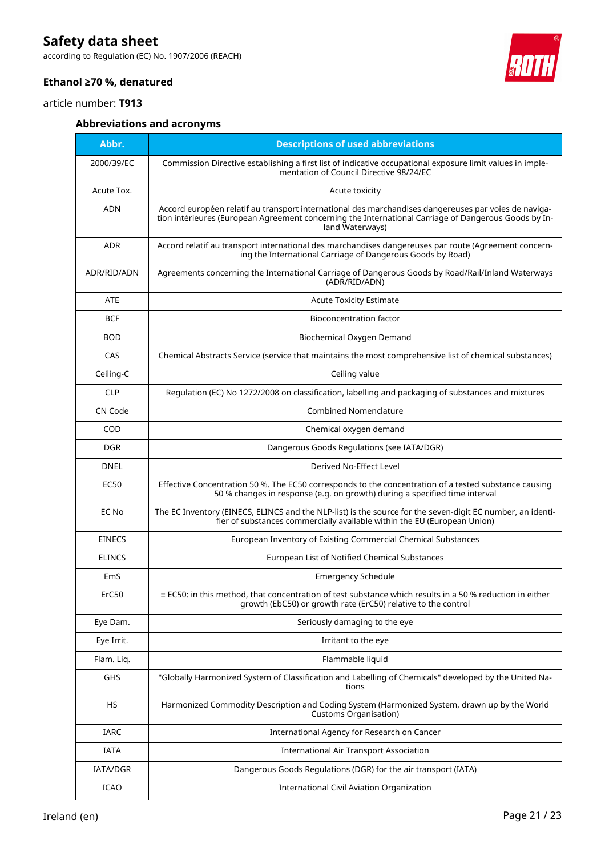according to Regulation (EC) No. 1907/2006 (REACH)



# **Ethanol ≥70 %, denatured**

article number: **T913**

# **Abbreviations and acronyms**

| Abbr.         | <b>Descriptions of used abbreviations</b>                                                                                                                                                                                       |
|---------------|---------------------------------------------------------------------------------------------------------------------------------------------------------------------------------------------------------------------------------|
| 2000/39/EC    | Commission Directive establishing a first list of indicative occupational exposure limit values in imple-<br>mentation of Council Directive 98/24/EC                                                                            |
| Acute Tox.    | Acute toxicity                                                                                                                                                                                                                  |
| <b>ADN</b>    | Accord européen relatif au transport international des marchandises dangereuses par voies de naviga-<br>tion intérieures (European Agreement concerning the International Carriage of Dangerous Goods by In-<br>land Waterways) |
| <b>ADR</b>    | Accord relatif au transport international des marchandises dangereuses par route (Agreement concern-<br>ing the International Carriage of Dangerous Goods by Road)                                                              |
| ADR/RID/ADN   | Agreements concerning the International Carriage of Dangerous Goods by Road/Rail/Inland Waterways<br>(ADR/RID/ADN)                                                                                                              |
| <b>ATE</b>    | <b>Acute Toxicity Estimate</b>                                                                                                                                                                                                  |
| <b>BCF</b>    | <b>Bioconcentration factor</b>                                                                                                                                                                                                  |
| <b>BOD</b>    | Biochemical Oxygen Demand                                                                                                                                                                                                       |
| CAS           | Chemical Abstracts Service (service that maintains the most comprehensive list of chemical substances)                                                                                                                          |
| Ceiling-C     | Ceiling value                                                                                                                                                                                                                   |
| <b>CLP</b>    | Regulation (EC) No 1272/2008 on classification, labelling and packaging of substances and mixtures                                                                                                                              |
| CN Code       | Combined Nomenclature                                                                                                                                                                                                           |
| COD           | Chemical oxygen demand                                                                                                                                                                                                          |
| <b>DGR</b>    | Dangerous Goods Regulations (see IATA/DGR)                                                                                                                                                                                      |
| <b>DNEL</b>   | Derived No-Effect Level                                                                                                                                                                                                         |
| <b>EC50</b>   | Effective Concentration 50 %. The EC50 corresponds to the concentration of a tested substance causing<br>50 % changes in response (e.g. on growth) during a specified time interval                                             |
| EC No         | The EC Inventory (EINECS, ELINCS and the NLP-list) is the source for the seven-digit EC number, an identi-<br>fier of substances commercially available within the EU (European Union)                                          |
| <b>EINECS</b> | European Inventory of Existing Commercial Chemical Substances                                                                                                                                                                   |
| <b>ELINCS</b> | European List of Notified Chemical Substances                                                                                                                                                                                   |
| EmS           | <b>Emergency Schedule</b>                                                                                                                                                                                                       |
| ErC50         | $\equiv$ EC50: in this method, that concentration of test substance which results in a 50 % reduction in either<br>growth (EbC50) or growth rate (ErC50) relative to the control                                                |
| Eye Dam.      | Seriously damaging to the eye                                                                                                                                                                                                   |
| Eye Irrit.    | Irritant to the eye                                                                                                                                                                                                             |
| Flam. Liq.    | Flammable liquid                                                                                                                                                                                                                |
| GHS           | "Globally Harmonized System of Classification and Labelling of Chemicals" developed by the United Na-<br>tions                                                                                                                  |
| HS            | Harmonized Commodity Description and Coding System (Harmonized System, drawn up by the World<br>Customs Organisation)                                                                                                           |
| <b>IARC</b>   | International Agency for Research on Cancer                                                                                                                                                                                     |
| IATA          | <b>International Air Transport Association</b>                                                                                                                                                                                  |
| IATA/DGR      | Dangerous Goods Regulations (DGR) for the air transport (IATA)                                                                                                                                                                  |
| <b>ICAO</b>   | International Civil Aviation Organization                                                                                                                                                                                       |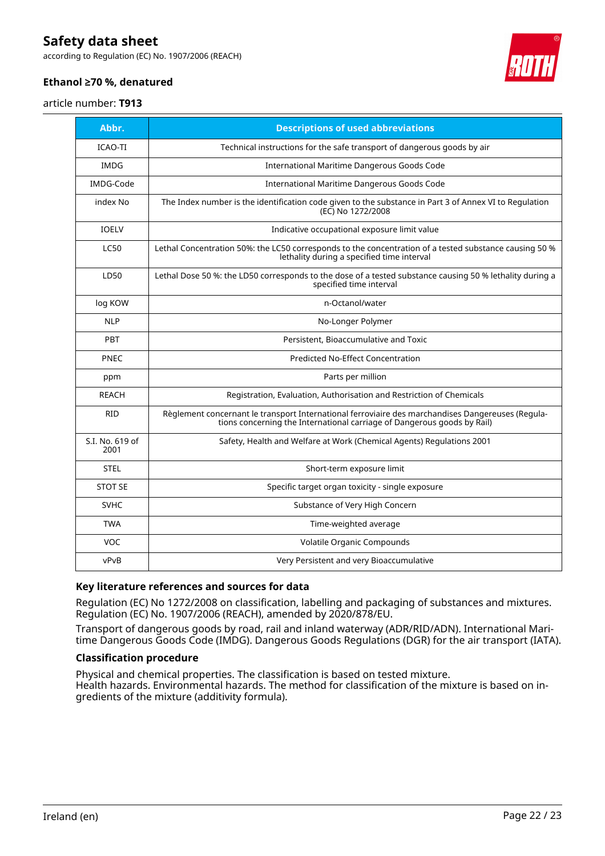according to Regulation (EC) No. 1907/2006 (REACH)



# **Ethanol ≥70 %, denatured**

#### article number: **T913**

| Abbr.                   | <b>Descriptions of used abbreviations</b>                                                                                                                                    |
|-------------------------|------------------------------------------------------------------------------------------------------------------------------------------------------------------------------|
| <b>ICAO-TI</b>          | Technical instructions for the safe transport of dangerous goods by air                                                                                                      |
| <b>IMDG</b>             | International Maritime Dangerous Goods Code                                                                                                                                  |
| IMDG-Code               | International Maritime Dangerous Goods Code                                                                                                                                  |
| index No                | The Index number is the identification code given to the substance in Part 3 of Annex VI to Regulation<br>(EC) No 1272/2008                                                  |
| <b>IOELV</b>            | Indicative occupational exposure limit value                                                                                                                                 |
| <b>LC50</b>             | Lethal Concentration 50%: the LC50 corresponds to the concentration of a tested substance causing 50 %<br>lethality during a specified time interval                         |
| LD50                    | Lethal Dose 50 %: the LD50 corresponds to the dose of a tested substance causing 50 % lethality during a<br>specified time interval                                          |
| log KOW                 | n-Octanol/water                                                                                                                                                              |
| <b>NLP</b>              | No-Longer Polymer                                                                                                                                                            |
| <b>PBT</b>              | Persistent, Bioaccumulative and Toxic                                                                                                                                        |
| PNEC                    | <b>Predicted No-Effect Concentration</b>                                                                                                                                     |
| ppm                     | Parts per million                                                                                                                                                            |
| <b>REACH</b>            | Registration, Evaluation, Authorisation and Restriction of Chemicals                                                                                                         |
| <b>RID</b>              | Règlement concernant le transport International ferroviaire des marchandises Dangereuses (Regula-<br>tions concerning the International carriage of Dangerous goods by Rail) |
| S.I. No. 619 of<br>2001 | Safety, Health and Welfare at Work (Chemical Agents) Regulations 2001                                                                                                        |
| <b>STEL</b>             | Short-term exposure limit                                                                                                                                                    |
| <b>STOT SE</b>          | Specific target organ toxicity - single exposure                                                                                                                             |
| <b>SVHC</b>             | Substance of Very High Concern                                                                                                                                               |
| <b>TWA</b>              | Time-weighted average                                                                                                                                                        |
| <b>VOC</b>              | Volatile Organic Compounds                                                                                                                                                   |
| vPvB                    | Very Persistent and very Bioaccumulative                                                                                                                                     |

#### **Key literature references and sources for data**

Regulation (EC) No 1272/2008 on classification, labelling and packaging of substances and mixtures. Regulation (EC) No. 1907/2006 (REACH), amended by 2020/878/EU.

Transport of dangerous goods by road, rail and inland waterway (ADR/RID/ADN). International Maritime Dangerous Goods Code (IMDG). Dangerous Goods Regulations (DGR) for the air transport (IATA).

#### **Classification procedure**

Physical and chemical properties. The classification is based on tested mixture. Health hazards. Environmental hazards. The method for classification of the mixture is based on ingredients of the mixture (additivity formula).